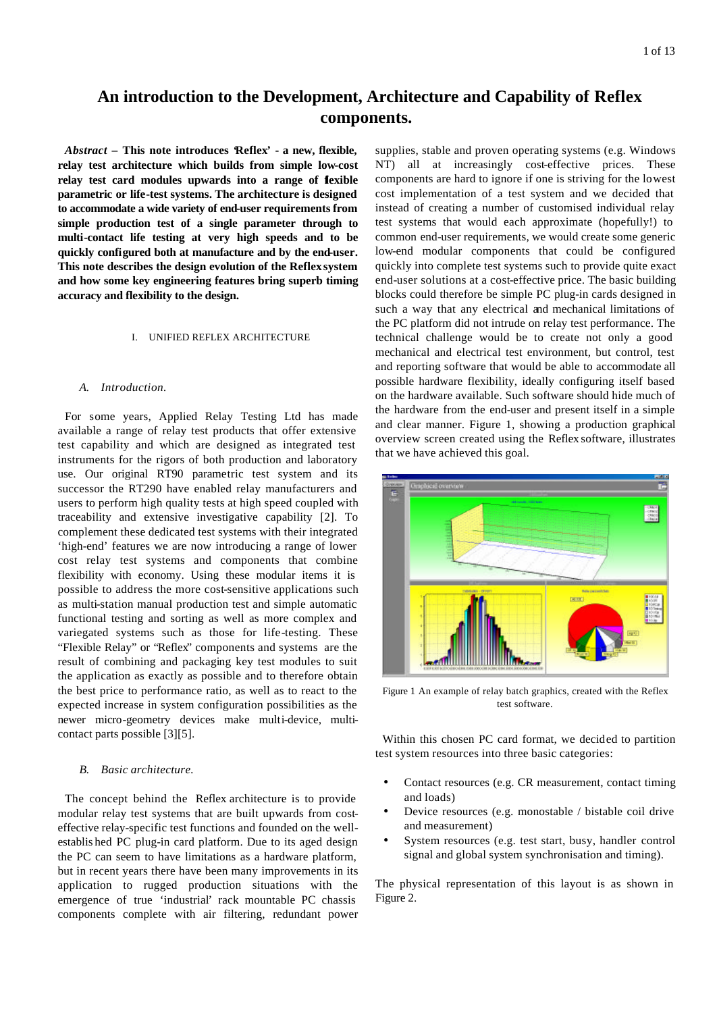# **An introduction to the Development, Architecture and Capability of Reflex components.**

*Abstract* **– This note introduces 'Reflex' - a new, flexible, relay test architecture which builds from simple low-cost**  relay test card modules upwards into a range of **f**exible **parametric or life-test systems. The architecture is designed to accommodate a wide variety of end-user requirements from simple production test of a single parameter through to multi-contact life testing at very high speeds and to be quickly configured both at manufacture and by the end-user. This note describes the design evolution of the Reflex system and how some key engineering features bring superb timing accuracy and flexibility to the design.**

#### I. UNIFIED REFLEX ARCHITECTURE

## *A. Introduction.*

For some years, Applied Relay Testing Ltd has made available a range of relay test products that offer extensive test capability and which are designed as integrated test instruments for the rigors of both production and laboratory use. Our original RT90 parametric test system and its successor the RT290 have enabled relay manufacturers and users to perform high quality tests at high speed coupled with traceability and extensive investigative capability [2]. To complement these dedicated test systems with their integrated 'high-end' features we are now introducing a range of lower cost relay test systems and components that combine flexibility with economy. Using these modular items it is possible to address the more cost-sensitive applications such as multi-station manual production test and simple automatic functional testing and sorting as well as more complex and variegated systems such as those for life-testing. These "Flexible Relay" or "Reflex" components and systems are the result of combining and packaging key test modules to suit the application as exactly as possible and to therefore obtain the best price to performance ratio, as well as to react to the expected increase in system configuration possibilities as the newer micro-geometry devices make multi-device, multicontact parts possible [3][5].

## *B. Basic architecture.*

The concept behind the Reflex architecture is to provide modular relay test systems that are built upwards from costeffective relay-specific test functions and founded on the wellestablis hed PC plug-in card platform. Due to its aged design the PC can seem to have limitations as a hardware platform, but in recent years there have been many improvements in its application to rugged production situations with the emergence of true 'industrial' rack mountable PC chassis components complete with air filtering, redundant power

supplies, stable and proven operating systems (e.g. Windows NT) all at increasingly cost-effective prices. These components are hard to ignore if one is striving for the lowest cost implementation of a test system and we decided that instead of creating a number of customised individual relay test systems that would each approximate (hopefully!) to common end-user requirements, we would create some generic low-end modular components that could be configured quickly into complete test systems such to provide quite exact end-user solutions at a cost-effective price. The basic building blocks could therefore be simple PC plug-in cards designed in such a way that any electrical and mechanical limitations of the PC platform did not intrude on relay test performance. The technical challenge would be to create not only a good mechanical and electrical test environment, but control, test and reporting software that would be able to accommodate all possible hardware flexibility, ideally configuring itself based on the hardware available. Such software should hide much of the hardware from the end-user and present itself in a simple and clear manner. Figure 1, showing a production graphical overview screen created using the Reflex software, illustrates that we have achieved this goal.



Figure 1 An example of relay batch graphics, created with the Reflex test software.

Within this chosen PC card format, we decided to partition test system resources into three basic categories:

- Contact resources (e.g. CR measurement, contact timing and loads)
- Device resources (e.g. monostable / bistable coil drive and measurement)
- System resources (e.g. test start, busy, handler control signal and global system synchronisation and timing).

The physical representation of this layout is as shown in Figure 2.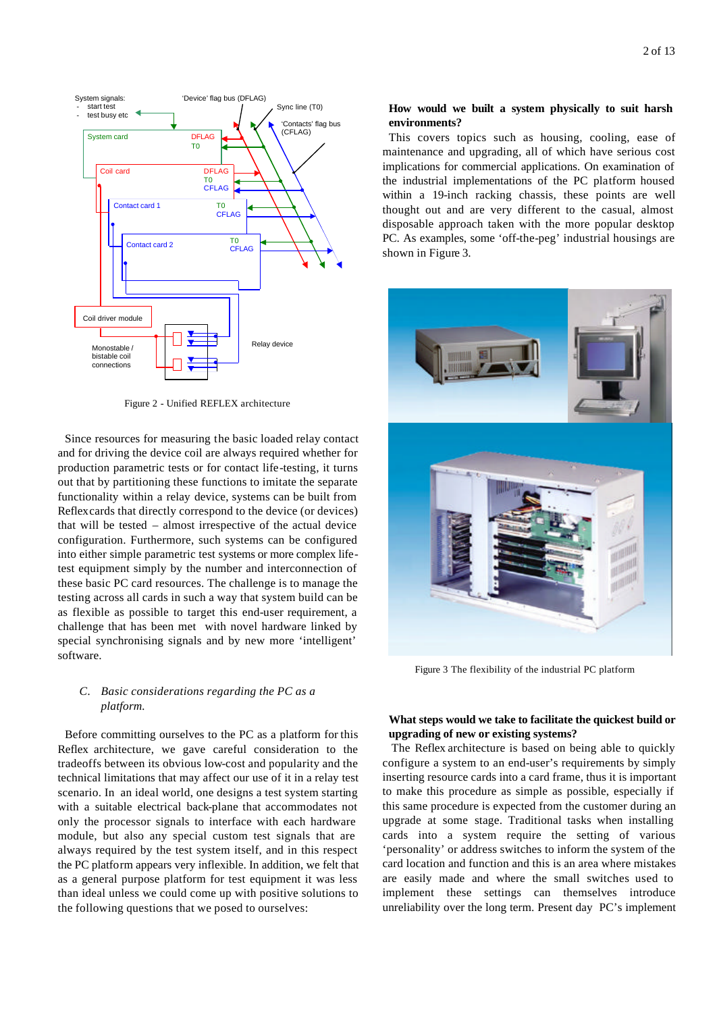

Figure 2 - Unified REFLEX architecture

Since resources for measuring the basic loaded relay contact and for driving the device coil are always required whether for production parametric tests or for contact life-testing, it turns out that by partitioning these functions to imitate the separate functionality within a relay device, systems can be built from Reflex cards that directly correspond to the device (or devices) that will be tested – almost irrespective of the actual device configuration. Furthermore, such systems can be configured into either simple parametric test systems or more complex lifetest equipment simply by the number and interconnection of these basic PC card resources. The challenge is to manage the testing across all cards in such a way that system build can be as flexible as possible to target this end-user requirement, a challenge that has been met with novel hardware linked by special synchronising signals and by new more 'intelligent' software.

# *C. Basic considerations regarding the PC as a platform.*

Before committing ourselves to the PC as a platform for this Reflex architecture, we gave careful consideration to the tradeoffs between its obvious low-cost and popularity and the technical limitations that may affect our use of it in a relay test scenario. In an ideal world, one designs a test system starting with a suitable electrical back-plane that accommodates not only the processor signals to interface with each hardware module, but also any special custom test signals that are always required by the test system itself, and in this respect the PC platform appears very inflexible. In addition, we felt that as a general purpose platform for test equipment it was less than ideal unless we could come up with positive solutions to the following questions that we posed to ourselves:

# **How would we built a system physically to suit harsh environments?**

This covers topics such as housing, cooling, ease of maintenance and upgrading, all of which have serious cost implications for commercial applications. On examination of the industrial implementations of the PC platform housed within a 19-inch racking chassis, these points are well thought out and are very different to the casual, almost disposable approach taken with the more popular desktop PC. As examples, some 'off-the-peg' industrial housings are shown in Figure 3.



Figure 3 The flexibility of the industrial PC platform

# **What steps would we take to facilitate the quickest build or upgrading of new or existing systems?**

 The Reflex architecture is based on being able to quickly configure a system to an end-user's requirements by simply inserting resource cards into a card frame, thus it is important to make this procedure as simple as possible, especially if this same procedure is expected from the customer during an upgrade at some stage. Traditional tasks when installing cards into a system require the setting of various 'personality' or address switches to inform the system of the card location and function and this is an area where mistakes are easily made and where the small switches used to implement these settings can themselves introduce unreliability over the long term. Present day PC's implement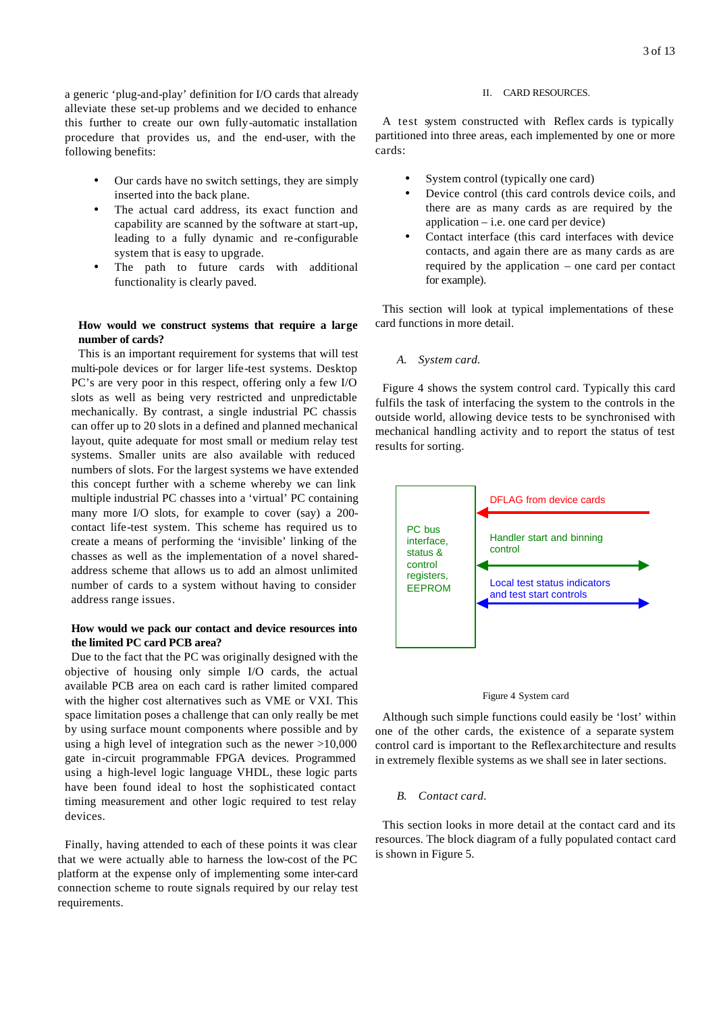a generic 'plug-and-play' definition for I/O cards that already alleviate these set-up problems and we decided to enhance this further to create our own fully-automatic installation procedure that provides us, and the end-user, with the following benefits:

- Our cards have no switch settings, they are simply inserted into the back plane.
- The actual card address, its exact function and capability are scanned by the software at start-up, leading to a fully dynamic and re-configurable system that is easy to upgrade.
- The path to future cards with additional functionality is clearly paved.

# **How would we construct systems that require a large number of cards?**

This is an important requirement for systems that will test multi-pole devices or for larger life-test systems. Desktop PC's are very poor in this respect, offering only a few I/O slots as well as being very restricted and unpredictable mechanically. By contrast, a single industrial PC chassis can offer up to 20 slots in a defined and planned mechanical layout, quite adequate for most small or medium relay test systems. Smaller units are also available with reduced numbers of slots. For the largest systems we have extended this concept further with a scheme whereby we can link multiple industrial PC chasses into a 'virtual' PC containing many more I/O slots, for example to cover (say) a 200 contact life-test system. This scheme has required us to create a means of performing the 'invisible' linking of the chasses as well as the implementation of a novel sharedaddress scheme that allows us to add an almost unlimited number of cards to a system without having to consider address range issues.

# **How would we pack our contact and device resources into the limited PC card PCB area?**

Due to the fact that the PC was originally designed with the objective of housing only simple I/O cards, the actual available PCB area on each card is rather limited compared with the higher cost alternatives such as VME or VXI. This space limitation poses a challenge that can only really be met by using surface mount components where possible and by using a high level of integration such as the newer >10,000 gate in-circuit programmable FPGA devices. Programmed using a high-level logic language VHDL, these logic parts have been found ideal to host the sophisticated contact timing measurement and other logic required to test relay devices.

Finally, having attended to each of these points it was clear that we were actually able to harness the low-cost of the PC platform at the expense only of implementing some inter-card connection scheme to route signals required by our relay test requirements.

#### II. CARD RESOURCES.

A test system constructed with Reflex cards is typically partitioned into three areas, each implemented by one or more cards:

- System control (typically one card)
- Device control (this card controls device coils, and there are as many cards as are required by the  $application - i.e.$  one card per device)
- Contact interface (this card interfaces with device contacts, and again there are as many cards as are required by the application – one card per contact for example).

This section will look at typical implementations of these card functions in more detail.

#### *A. System card.*

Figure 4 shows the system control card. Typically this card fulfils the task of interfacing the system to the controls in the outside world, allowing device tests to be synchronised with mechanical handling activity and to report the status of test results for sorting.





Although such simple functions could easily be 'lost' within one of the other cards, the existence of a separate system control card is important to the Reflex architecture and results in extremely flexible systems as we shall see in later sections.

## *B. Contact card.*

This section looks in more detail at the contact card and its resources. The block diagram of a fully populated contact card is shown in Figure 5.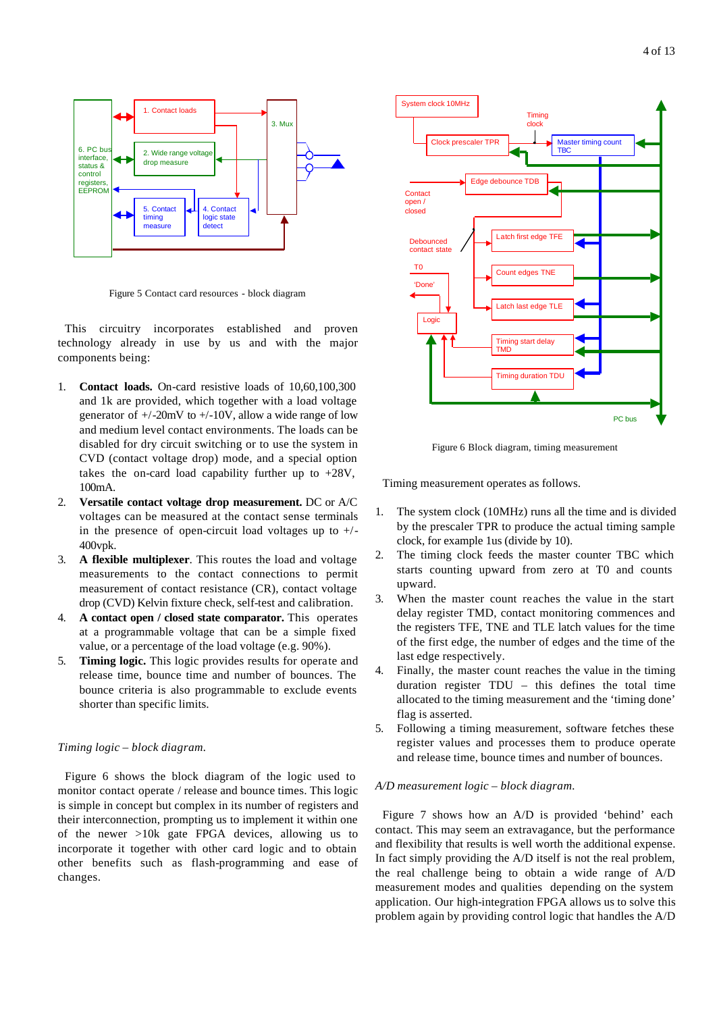

Figure 5 Contact card resources - block diagram

This circuitry incorporates established and proven technology already in use by us and with the major components being:

- 1. **Contact loads.** On-card resistive loads of 10,60,100,300 and 1k are provided, which together with a load voltage generator of  $+/-20$ mV to  $+/-10$ V, allow a wide range of low and medium level contact environments. The loads can be disabled for dry circuit switching or to use the system in CVD (contact voltage drop) mode, and a special option takes the on-card load capability further up to +28V, 100mA.
- 2. **Versatile contact voltage drop measurement.** DC or A/C voltages can be measured at the contact sense terminals in the presence of open-circuit load voltages up to  $+/-$ 400vpk.
- 3. **A flexible multiplexer**. This routes the load and voltage measurements to the contact connections to permit measurement of contact resistance (CR), contact voltage drop (CVD) Kelvin fixture check, self-test and calibration.
- 4. **A contact open / closed state comparator.** This operates at a programmable voltage that can be a simple fixed value, or a percentage of the load voltage (e.g. 90%).
- 5. **Timing logic.** This logic provides results for operate and release time, bounce time and number of bounces. The bounce criteria is also programmable to exclude events shorter than specific limits.

#### *Timing logic – block diagram.*

Figure 6 shows the block diagram of the logic used to monitor contact operate / release and bounce times. This logic is simple in concept but complex in its number of registers and their interconnection, prompting us to implement it within one of the newer >10k gate FPGA devices, allowing us to incorporate it together with other card logic and to obtain other benefits such as flash-programming and ease of changes.



Figure 6 Block diagram, timing measurement

Timing measurement operates as follows.

- 1. The system clock (10MHz) runs all the time and is divided by the prescaler TPR to produce the actual timing sample clock, for example 1us (divide by 10).
- 2. The timing clock feeds the master counter TBC which starts counting upward from zero at T0 and counts upward.
- 3. When the master count reaches the value in the start delay register TMD, contact monitoring commences and the registers TFE, TNE and TLE latch values for the time of the first edge, the number of edges and the time of the last edge respectively.
- 4. Finally, the master count reaches the value in the timing duration register TDU – this defines the total time allocated to the timing measurement and the 'timing done' flag is asserted.
- 5. Following a timing measurement, software fetches these register values and processes them to produce operate and release time, bounce times and number of bounces.

## *A/D measurement logic – block diagram.*

Figure 7 shows how an A/D is provided 'behind' each contact. This may seem an extravagance, but the performance and flexibility that results is well worth the additional expense. In fact simply providing the A/D itself is not the real problem, the real challenge being to obtain a wide range of A/D measurement modes and qualities depending on the system application. Our high-integration FPGA allows us to solve this problem again by providing control logic that handles the A/D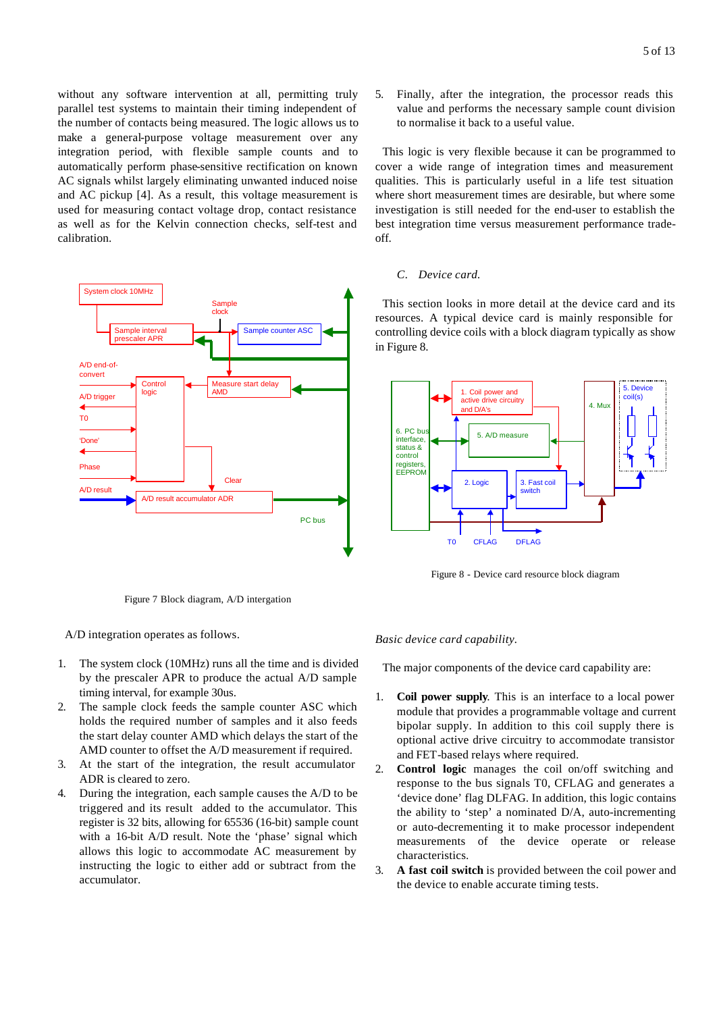without any software intervention at all, permitting truly parallel test systems to maintain their timing independent of the number of contacts being measured. The logic allows us to make a general-purpose voltage measurement over any integration period, with flexible sample counts and to automatically perform phase-sensitive rectification on known AC signals whilst largely eliminating unwanted induced noise and AC pickup [4]. As a result, this voltage measurement is used for measuring contact voltage drop, contact resistance as well as for the Kelvin connection checks, self-test and calibration.



Figure 7 Block diagram, A/D intergation

A/D integration operates as follows.

- 1. The system clock (10MHz) runs all the time and is divided by the prescaler APR to produce the actual A/D sample timing interval, for example 30us.
- 2. The sample clock feeds the sample counter ASC which holds the required number of samples and it also feeds the start delay counter AMD which delays the start of the AMD counter to offset the A/D measurement if required.
- 3. At the start of the integration, the result accumulator ADR is cleared to zero.
- 4. During the integration, each sample causes the A/D to be triggered and its result added to the accumulator. This register is 32 bits, allowing for 65536 (16-bit) sample count with a 16-bit A/D result. Note the 'phase' signal which allows this logic to accommodate AC measurement by instructing the logic to either add or subtract from the accumulator.

5. Finally, after the integration, the processor reads this value and performs the necessary sample count division to normalise it back to a useful value.

This logic is very flexible because it can be programmed to cover a wide range of integration times and measurement qualities. This is particularly useful in a life test situation where short measurement times are desirable, but where some investigation is still needed for the end-user to establish the best integration time versus measurement performance tradeoff.

## *C. Device card.*

This section looks in more detail at the device card and its resources. A typical device card is mainly responsible for controlling device coils with a block diagram typically as show in Figure 8.



Figure 8 - Device card resource block diagram

#### *Basic device card capability.*

The major components of the device card capability are:

- 1. **Coil power supply**. This is an interface to a local power module that provides a programmable voltage and current bipolar supply. In addition to this coil supply there is optional active drive circuitry to accommodate transistor and FET-based relays where required.
- 2. **Control logic** manages the coil on/off switching and response to the bus signals T0, CFLAG and generates a 'device done' flag DLFAG. In addition, this logic contains the ability to 'step' a nominated D/A, auto-incrementing or auto-decrementing it to make processor independent measurements of the device operate or release characteristics.
- 3. **A fast coil switch** is provided between the coil power and the device to enable accurate timing tests.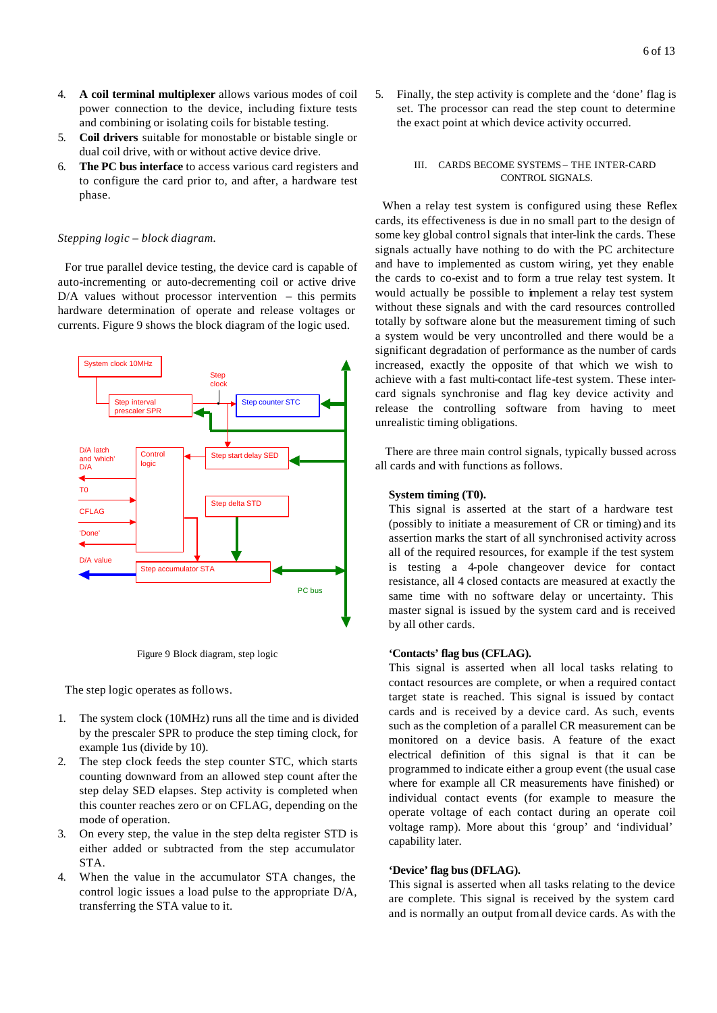- 4. **A coil terminal multiplexer** allows various modes of coil power connection to the device, including fixture tests and combining or isolating coils for bistable testing.
- 5. **Coil drivers** suitable for monostable or bistable single or dual coil drive, with or without active device drive.
- 6. **The PC bus interface** to access various card registers and to configure the card prior to, and after, a hardware test phase.

#### *Stepping logic – block diagram.*

For true parallel device testing, the device card is capable of auto-incrementing or auto-decrementing coil or active drive D/A values without processor intervention – this permits hardware determination of operate and release voltages or currents. Figure 9 shows the block diagram of the logic used.



Figure 9 Block diagram, step logic

The step logic operates as follows.

- 1. The system clock (10MHz) runs all the time and is divided by the prescaler SPR to produce the step timing clock, for example 1us (divide by 10).
- 2. The step clock feeds the step counter STC, which starts counting downward from an allowed step count after the step delay SED elapses. Step activity is completed when this counter reaches zero or on CFLAG, depending on the mode of operation.
- 3. On every step, the value in the step delta register STD is either added or subtracted from the step accumulator STA.
- 4. When the value in the accumulator STA changes, the control logic issues a load pulse to the appropriate D/A, transferring the STA value to it.

5. Finally, the step activity is complete and the 'done' flag is set. The processor can read the step count to determine the exact point at which device activity occurred.

## III. CARDS BECOME SYSTEMS – THE INTER-CARD CONTROL SIGNALS.

When a relay test system is configured using these Reflex cards, its effectiveness is due in no small part to the design of some key global control signals that inter-link the cards. These signals actually have nothing to do with the PC architecture and have to implemented as custom wiring, yet they enable the cards to co-exist and to form a true relay test system. It would actually be possible to implement a relay test system without these signals and with the card resources controlled totally by software alone but the measurement timing of such a system would be very uncontrolled and there would be a significant degradation of performance as the number of cards increased, exactly the opposite of that which we wish to achieve with a fast multi-contact life-test system. These intercard signals synchronise and flag key device activity and release the controlling software from having to meet unrealistic timing obligations.

 There are three main control signals, typically bussed across all cards and with functions as follows.

## **System timing (T0).**

This signal is asserted at the start of a hardware test (possibly to initiate a measurement of CR or timing) and its assertion marks the start of all synchronised activity across all of the required resources, for example if the test system is testing a 4-pole changeover device for contact resistance, all 4 closed contacts are measured at exactly the same time with no software delay or uncertainty. This master signal is issued by the system card and is received by all other cards.

## **'Contacts' flag bus (CFLAG).**

This signal is asserted when all local tasks relating to contact resources are complete, or when a required contact target state is reached. This signal is issued by contact cards and is received by a device card. As such, events such as the completion of a parallel CR measurement can be monitored on a device basis. A feature of the exact electrical definition of this signal is that it can be programmed to indicate either a group event (the usual case where for example all CR measurements have finished) or individual contact events (for example to measure the operate voltage of each contact during an operate coil voltage ramp). More about this 'group' and 'individual' capability later.

#### **'Device' flag bus (DFLAG).**

This signal is asserted when all tasks relating to the device are complete. This signal is received by the system card and is normally an output from all device cards. As with the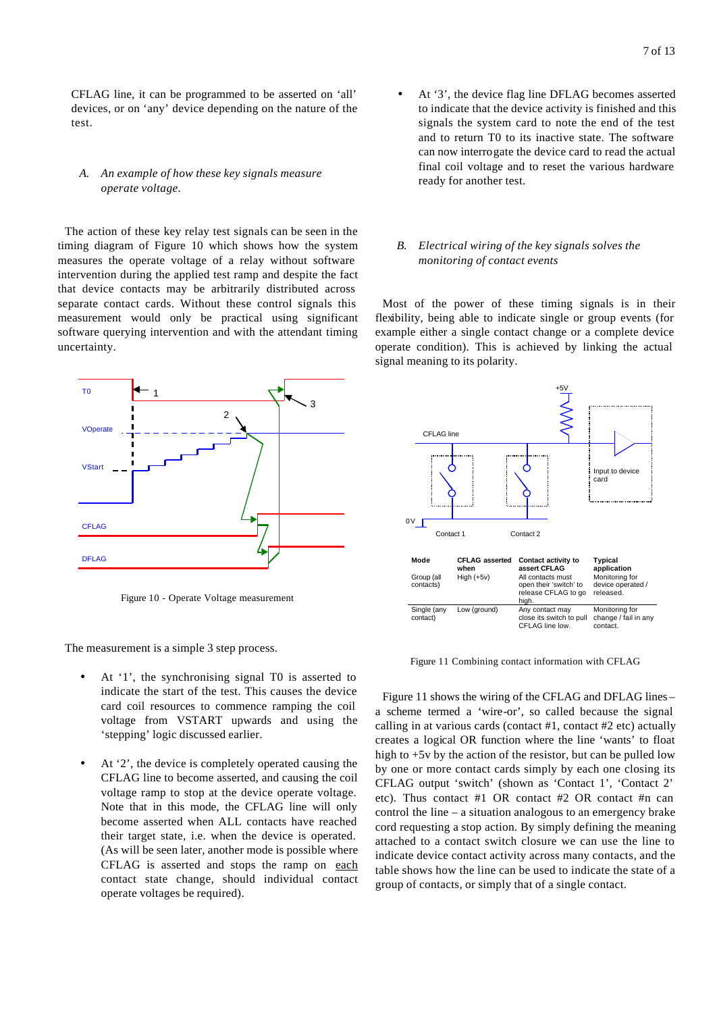CFLAG line, it can be programmed to be asserted on 'all' devices, or on 'any' device depending on the nature of the test.

# *A. An example of how these key signals measure operate voltage.*

The action of these key relay test signals can be seen in the timing diagram of Figure 10 which shows how the system measures the operate voltage of a relay without software intervention during the applied test ramp and despite the fact that device contacts may be arbitrarily distributed across separate contact cards. Without these control signals this measurement would only be practical using significant software querying intervention and with the attendant timing uncertainty.



Figure 10 - Operate Voltage measurement

The measurement is a simple 3 step process.

- At '1', the synchronising signal T0 is asserted to indicate the start of the test. This causes the device card coil resources to commence ramping the coil voltage from VSTART upwards and using the 'stepping' logic discussed earlier.
- At '2', the device is completely operated causing the CFLAG line to become asserted, and causing the coil voltage ramp to stop at the device operate voltage. Note that in this mode, the CFLAG line will only become asserted when ALL contacts have reached their target state, i.e. when the device is operated. (As will be seen later, another mode is possible where CFLAG is asserted and stops the ramp on each contact state change, should individual contact operate voltages be required).

At '3', the device flag line DFLAG becomes asserted to indicate that the device activity is finished and this signals the system card to note the end of the test and to return T0 to its inactive state. The software can now interrogate the device card to read the actual final coil voltage and to reset the various hardware ready for another test.

# *B. Electrical wiring of the key signals solves the monitoring of contact events*

Most of the power of these timing signals is in their flexibility, being able to indicate single or group events (for example either a single contact change or a complete device operate condition). This is achieved by linking the actual signal meaning to its polarity.



Figure 11 Combining contact information with CFLAG

Figure 11 shows the wiring of the CFLAG and DFLAG lines – a scheme termed a 'wire-or', so called because the signal calling in at various cards (contact #1, contact #2 etc) actually creates a logical OR function where the line 'wants' to float high to  $+5v$  by the action of the resistor, but can be pulled low by one or more contact cards simply by each one closing its CFLAG output 'switch' (shown as 'Contact 1', 'Contact 2' etc). Thus contact #1 OR contact #2 OR contact #n can control the line – a situation analogous to an emergency brake cord requesting a stop action. By simply defining the meaning attached to a contact switch closure we can use the line to indicate device contact activity across many contacts, and the table shows how the line can be used to indicate the state of a group of contacts, or simply that of a single contact.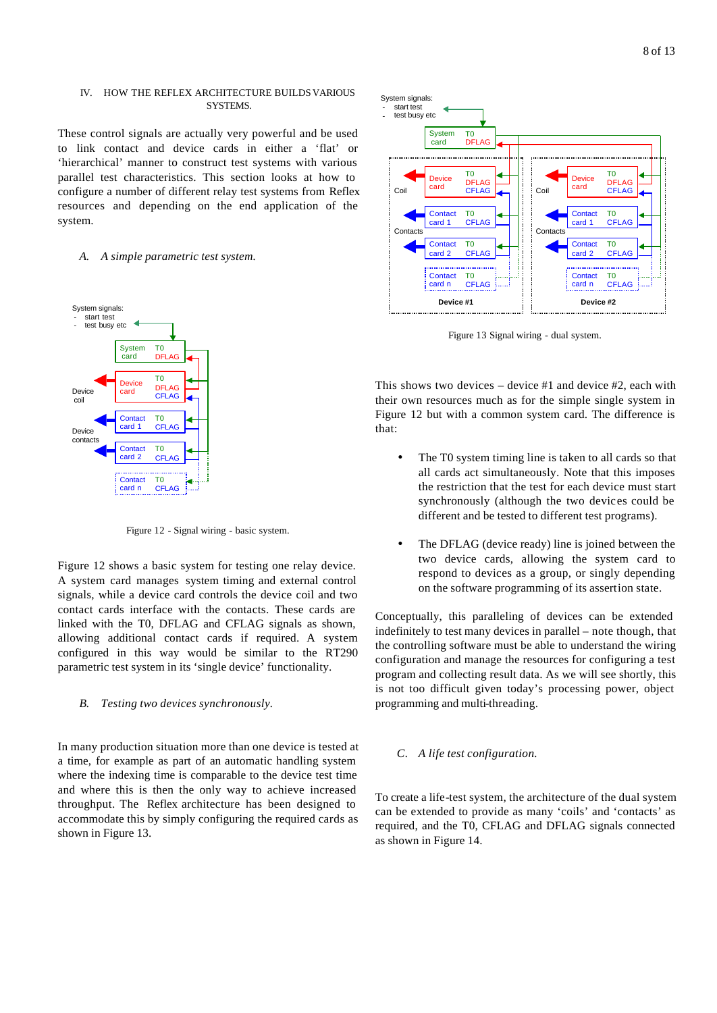#### IV. HOW THE REFLEX ARCHITECTURE BUILDS VARIOUS SYSTEMS.

These control signals are actually very powerful and be used to link contact and device cards in either a 'flat' or 'hierarchical' manner to construct test systems with various parallel test characteristics. This section looks at how to configure a number of different relay test systems from Reflex resources and depending on the end application of the system.

## *A. A simple parametric test system.*



Figure 12 - Signal wiring - basic system.

Figure 12 shows a basic system for testing one relay device. A system card manages system timing and external control signals, while a device card controls the device coil and two contact cards interface with the contacts. These cards are linked with the T0, DFLAG and CFLAG signals as shown, allowing additional contact cards if required. A system configured in this way would be similar to the RT290 parametric test system in its 'single device' functionality.

### *B. Testing two devices synchronously.*

In many production situation more than one device is tested at a time, for example as part of an automatic handling system where the indexing time is comparable to the device test time and where this is then the only way to achieve increased throughput. The Reflex architecture has been designed to accommodate this by simply configuring the required cards as shown in Figure 13.



Figure 13 Signal wiring - dual system.

This shows two devices – device #1 and device #2, each with their own resources much as for the simple single system in Figure 12 but with a common system card. The difference is that:

- The T0 system timing line is taken to all cards so that all cards act simultaneously. Note that this imposes the restriction that the test for each device must start synchronously (although the two devices could be different and be tested to different test programs).
- The DFLAG (device ready) line is joined between the two device cards, allowing the system card to respond to devices as a group, or singly depending on the software programming of its assertion state.

Conceptually, this paralleling of devices can be extended indefinitely to test many devices in parallel – note though, that the controlling software must be able to understand the wiring configuration and manage the resources for configuring a test program and collecting result data. As we will see shortly, this is not too difficult given today's processing power, object programming and multi-threading.

#### *C. A life test configuration.*

To create a life-test system, the architecture of the dual system can be extended to provide as many 'coils' and 'contacts' as required, and the T0, CFLAG and DFLAG signals connected as shown in Figure 14.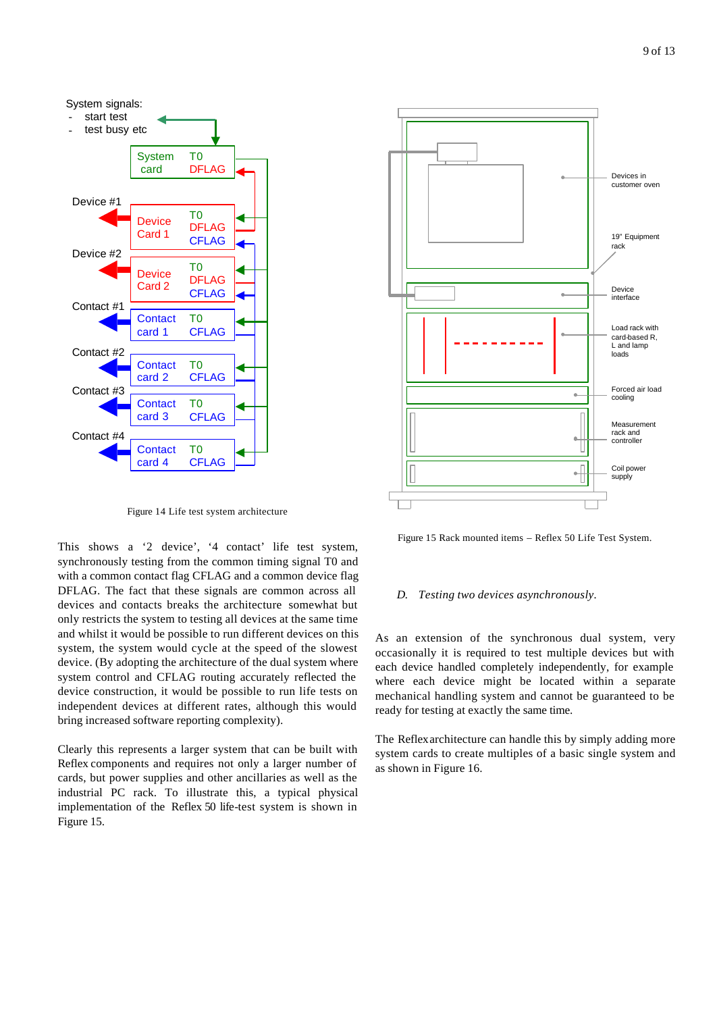

Figure 14 Life test system architecture

This shows a '2 device', '4 contact' life test system, synchronously testing from the common timing signal T0 and with a common contact flag CFLAG and a common device flag DFLAG. The fact that these signals are common across all devices and contacts breaks the architecture somewhat but only restricts the system to testing all devices at the same time and whilst it would be possible to run different devices on this system, the system would cycle at the speed of the slowest device. (By adopting the architecture of the dual system where system control and CFLAG routing accurately reflected the device construction, it would be possible to run life tests on independent devices at different rates, although this would bring increased software reporting complexity).

Clearly this represents a larger system that can be built with Reflex components and requires not only a larger number of cards, but power supplies and other ancillaries as well as the industrial PC rack. To illustrate this, a typical physical implementation of the Reflex 50 life-test system is shown in Figure 15.



Figure 15 Rack mounted items – Reflex 50 Life Test System.

#### *D. Testing two devices asynchronously.*

As an extension of the synchronous dual system, very occasionally it is required to test multiple devices but with each device handled completely independently, for example where each device might be located within a separate mechanical handling system and cannot be guaranteed to be ready for testing at exactly the same time.

The Reflex architecture can handle this by simply adding more system cards to create multiples of a basic single system and as shown in Figure 16.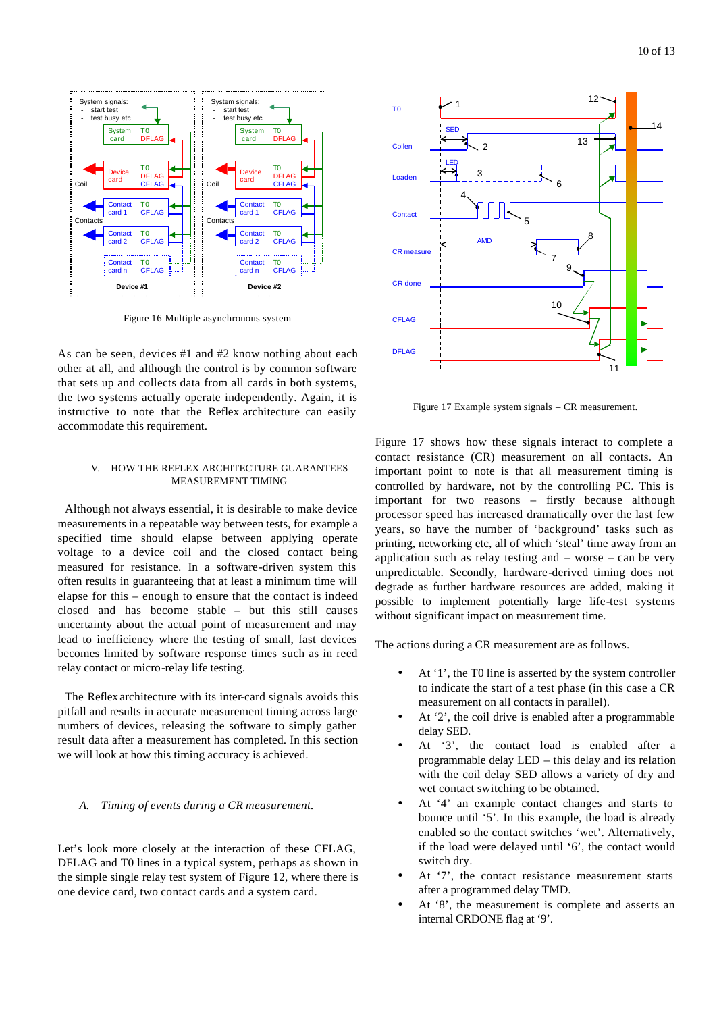

Figure 16 Multiple asynchronous system

As can be seen, devices #1 and #2 know nothing about each other at all, and although the control is by common software that sets up and collects data from all cards in both systems, the two systems actually operate independently. Again, it is instructive to note that the Reflex architecture can easily accommodate this requirement.

## V. HOW THE REFLEX ARCHITECTURE GUARANTEES MEASUREMENT TIMING

Although not always essential, it is desirable to make device measurements in a repeatable way between tests, for example a specified time should elapse between applying operate voltage to a device coil and the closed contact being measured for resistance. In a software-driven system this often results in guaranteeing that at least a minimum time will elapse for this – enough to ensure that the contact is indeed closed and has become stable – but this still causes uncertainty about the actual point of measurement and may lead to inefficiency where the testing of small, fast devices becomes limited by software response times such as in reed relay contact or micro-relay life testing.

The Reflex architecture with its inter-card signals avoids this pitfall and results in accurate measurement timing across large numbers of devices, releasing the software to simply gather result data after a measurement has completed. In this section we will look at how this timing accuracy is achieved.

## *A. Timing of events during a CR measurement.*

Let's look more closely at the interaction of these CFLAG, DFLAG and T0 lines in a typical system, perhaps as shown in the simple single relay test system of Figure 12, where there is one device card, two contact cards and a system card.



Figure 17 Example system signals – CR measurement.

Figure 17 shows how these signals interact to complete a contact resistance (CR) measurement on all contacts. An important point to note is that all measurement timing is controlled by hardware, not by the controlling PC. This is important for two reasons – firstly because although processor speed has increased dramatically over the last few years, so have the number of 'background' tasks such as printing, networking etc, all of which 'steal' time away from an application such as relay testing and  $-$  worse  $-$  can be very unpredictable. Secondly, hardware-derived timing does not degrade as further hardware resources are added, making it possible to implement potentially large life-test systems without significant impact on measurement time.

The actions during a CR measurement are as follows.

- At '1', the T0 line is asserted by the system controller to indicate the start of a test phase (in this case a CR measurement on all contacts in parallel).
- At '2', the coil drive is enabled after a programmable delay SED.
- At '3', the contact load is enabled after a programmable delay LED – this delay and its relation with the coil delay SED allows a variety of dry and wet contact switching to be obtained.
- At '4' an example contact changes and starts to bounce until '5'. In this example, the load is already enabled so the contact switches 'wet'. Alternatively, if the load were delayed until '6', the contact would switch dry.
- At '7', the contact resistance measurement starts after a programmed delay TMD.
- At '8', the measurement is complete and asserts an internal CRDONE flag at '9'.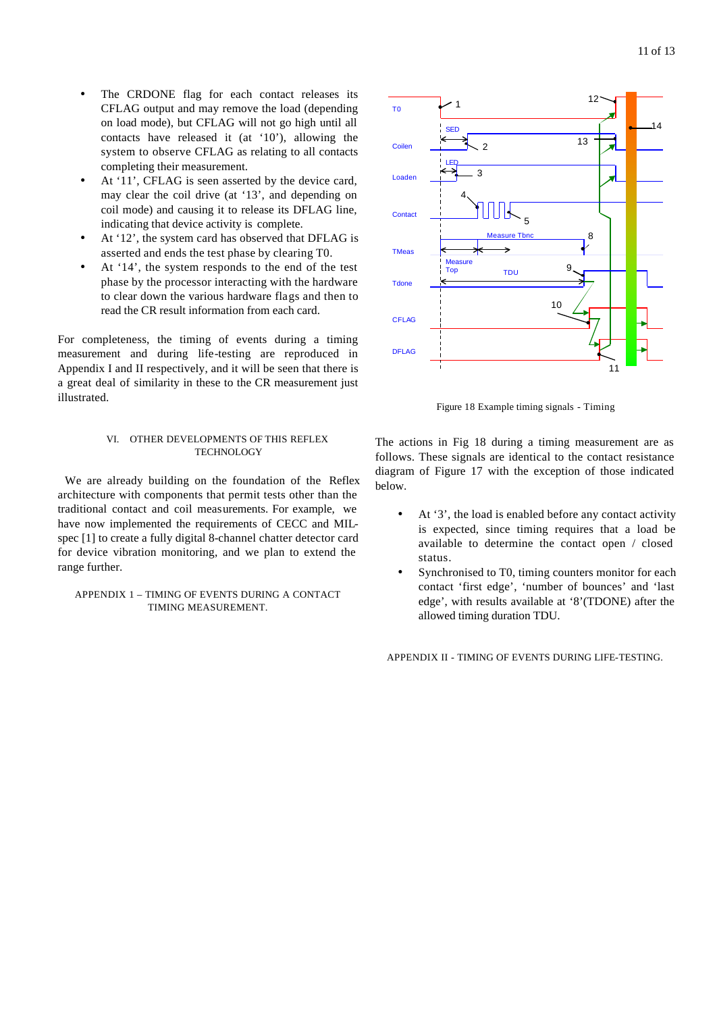- The CRDONE flag for each contact releases its CFLAG output and may remove the load (depending on load mode), but CFLAG will not go high until all contacts have released it (at '10'), allowing the system to observe CFLAG as relating to all contacts completing their measurement.
- At '11', CFLAG is seen asserted by the device card, may clear the coil drive (at '13', and depending on coil mode) and causing it to release its DFLAG line, indicating that device activity is complete.
- At '12', the system card has observed that DFLAG is asserted and ends the test phase by clearing T0.
- At '14', the system responds to the end of the test phase by the processor interacting with the hardware to clear down the various hardware flags and then to read the CR result information from each card.

For completeness, the timing of events during a timing measurement and during life-testing are reproduced in Appendix I and II respectively, and it will be seen that there is a great deal of similarity in these to the CR measurement just illustrated.

#### VI. OTHER DEVELOPMENTS OF THIS REFLEX **TECHNOLOGY**

We are already building on the foundation of the Reflex architecture with components that permit tests other than the traditional contact and coil measurements. For example, we have now implemented the requirements of CECC and MILspec [1] to create a fully digital 8-channel chatter detector card for device vibration monitoring, and we plan to extend the range further.

## APPENDIX 1 – TIMING OF EVENTS DURING A CONTACT TIMING MEASUREMENT.



Figure 18 Example timing signals - Timing

The actions in Fig 18 during a timing measurement are as follows. These signals are identical to the contact resistance diagram of Figure 17 with the exception of those indicated below.

- At '3', the load is enabled before any contact activity is expected, since timing requires that a load be available to determine the contact open / closed status.
- Synchronised to T0, timing counters monitor for each contact 'first edge', 'number of bounces' and 'last edge', with results available at '8'(TDONE) after the allowed timing duration TDU.

APPENDIX II - TIMING OF EVENTS DURING LIFE-TESTING.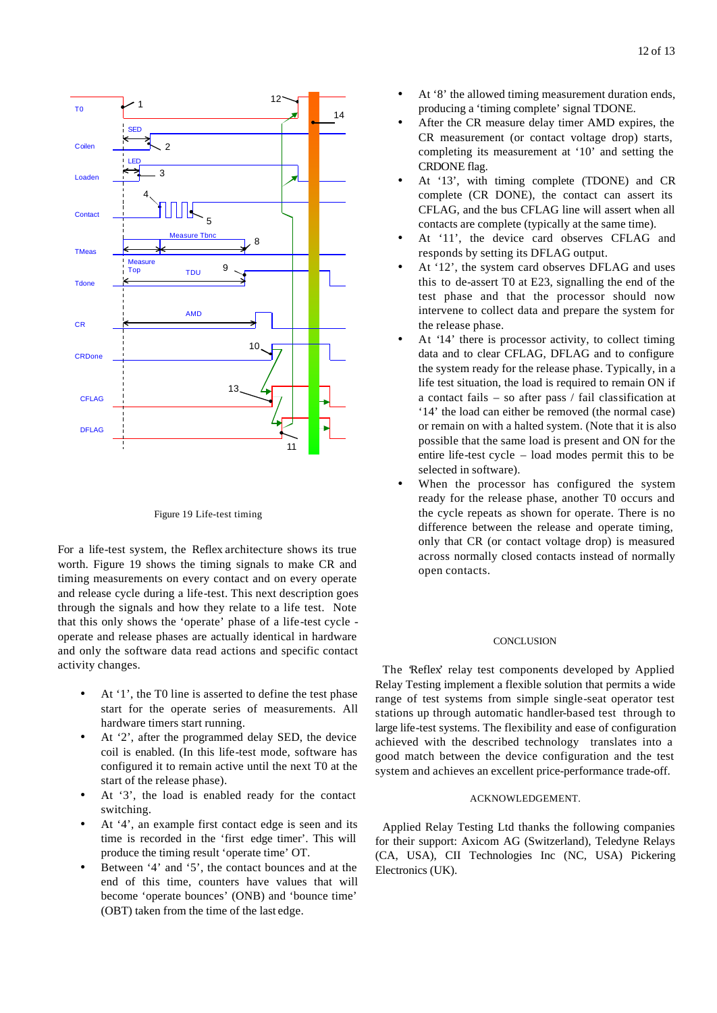



Figure 19 Life-test timing

For a life-test system, the Reflex architecture shows its true worth. Figure 19 shows the timing signals to make CR and timing measurements on every contact and on every operate and release cycle during a life-test. This next description goes through the signals and how they relate to a life test. Note that this only shows the 'operate' phase of a life-test cycle operate and release phases are actually identical in hardware and only the software data read actions and specific contact activity changes.

- At '1', the T0 line is asserted to define the test phase start for the operate series of measurements. All hardware timers start running.
- At '2', after the programmed delay SED, the device coil is enabled. (In this life-test mode, software has configured it to remain active until the next T0 at the start of the release phase).
- At '3', the load is enabled ready for the contact switching.
- At '4', an example first contact edge is seen and its time is recorded in the 'first edge timer'. This will produce the timing result 'operate time' OT.
- Between '4' and '5', the contact bounces and at the end of this time, counters have values that will become 'operate bounces' (ONB) and 'bounce time' (OBT) taken from the time of the last edge.
- At '8' the allowed timing measurement duration ends, producing a 'timing complete' signal TDONE.
- After the CR measure delay timer AMD expires, the CR measurement (or contact voltage drop) starts, completing its measurement at '10' and setting the CRDONE flag.
- At '13', with timing complete (TDONE) and CR complete (CR DONE), the contact can assert its CFLAG, and the bus CFLAG line will assert when all contacts are complete (typically at the same time).
- At '11', the device card observes CFLAG and responds by setting its DFLAG output.
- At '12', the system card observes DFLAG and uses this to de-assert T0 at E23, signalling the end of the test phase and that the processor should now intervene to collect data and prepare the system for the release phase.
- At '14' there is processor activity, to collect timing data and to clear CFLAG, DFLAG and to configure the system ready for the release phase. Typically, in a life test situation, the load is required to remain ON if a contact fails – so after pass / fail classification at '14' the load can either be removed (the normal case) or remain on with a halted system. (Note that it is also possible that the same load is present and ON for the entire life-test cycle – load modes permit this to be selected in software).
- When the processor has configured the system ready for the release phase, another T0 occurs and the cycle repeats as shown for operate. There is no difference between the release and operate timing, only that CR (or contact voltage drop) is measured across normally closed contacts instead of normally open contacts.

#### **CONCLUSION**

The 'Reflex' relay test components developed by Applied Relay Testing implement a flexible solution that permits a wide range of test systems from simple single-seat operator test stations up through automatic handler-based test through to large life-test systems. The flexibility and ease of configuration achieved with the described technology translates into a good match between the device configuration and the test system and achieves an excellent price-performance trade-off.

# ACKNOWLEDGEMENT.

Applied Relay Testing Ltd thanks the following companies for their support: Axicom AG (Switzerland), Teledyne Relays (CA, USA), CII Technologies Inc (NC, USA) Pickering Electronics (UK).